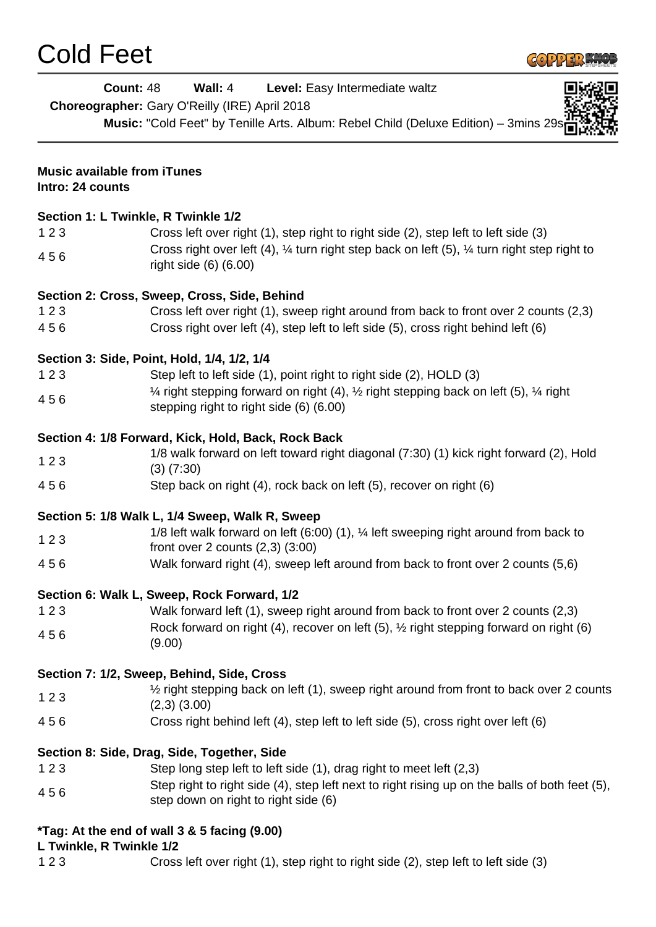

|                                                        | <b>Count: 48</b><br>Wall: 4<br>Level: Easy Intermediate waltz<br>Choreographer: Gary O'Reilly (IRE) April 2018<br>Music: "Cold Feet" by Tenille Arts. Album: Rebel Child (Deluxe Edition) - 3mins 29s |
|--------------------------------------------------------|-------------------------------------------------------------------------------------------------------------------------------------------------------------------------------------------------------|
| <b>Music available from iTunes</b><br>Intro: 24 counts |                                                                                                                                                                                                       |
|                                                        | Section 1: L Twinkle, R Twinkle 1/2                                                                                                                                                                   |
| 123                                                    | Cross left over right (1), step right to right side (2), step left to left side (3)                                                                                                                   |
| 456                                                    | Cross right over left (4), $\frac{1}{4}$ turn right step back on left (5), $\frac{1}{4}$ turn right step right to<br>right side (6) (6.00)                                                            |
|                                                        | Section 2: Cross, Sweep, Cross, Side, Behind                                                                                                                                                          |
| 123                                                    | Cross left over right (1), sweep right around from back to front over 2 counts (2,3)                                                                                                                  |
| 456                                                    | Cross right over left (4), step left to left side (5), cross right behind left (6)                                                                                                                    |
|                                                        | Section 3: Side, Point, Hold, 1/4, 1/2, 1/4                                                                                                                                                           |
| 123                                                    | Step left to left side (1), point right to right side (2), HOLD (3)                                                                                                                                   |
| 456                                                    | $\frac{1}{4}$ right stepping forward on right (4), $\frac{1}{2}$ right stepping back on left (5), $\frac{1}{4}$ right<br>stepping right to right side (6) (6.00)                                      |
|                                                        | Section 4: 1/8 Forward, Kick, Hold, Back, Rock Back                                                                                                                                                   |
| 123                                                    | 1/8 walk forward on left toward right diagonal (7:30) (1) kick right forward (2), Hold                                                                                                                |
| 456                                                    | $(3)$ $(7:30)$<br>Step back on right (4), rock back on left (5), recover on right (6)                                                                                                                 |
|                                                        |                                                                                                                                                                                                       |
|                                                        | Section 5: 1/8 Walk L, 1/4 Sweep, Walk R, Sweep                                                                                                                                                       |
| 123                                                    | 1/8 left walk forward on left (6:00) (1), 1⁄4 left sweeping right around from back to                                                                                                                 |
| 456                                                    | front over 2 counts $(2,3)$ $(3:00)$<br>Walk forward right (4), sweep left around from back to front over 2 counts (5,6)                                                                              |
|                                                        | Section 6: Walk L, Sweep, Rock Forward, 1/2                                                                                                                                                           |
| 123                                                    | Walk forward left (1), sweep right around from back to front over 2 counts (2,3)                                                                                                                      |
| 456                                                    | Rock forward on right (4), recover on left (5), 1/2 right stepping forward on right (6)<br>(9.00)                                                                                                     |
|                                                        | Section 7: 1/2, Sweep, Behind, Side, Cross                                                                                                                                                            |
| 123                                                    | 1/2 right stepping back on left (1), sweep right around from front to back over 2 counts<br>$(2,3)$ $(3.00)$                                                                                          |
| 456                                                    | Cross right behind left (4), step left to left side (5), cross right over left (6)                                                                                                                    |
|                                                        | Section 8: Side, Drag, Side, Together, Side                                                                                                                                                           |
| 123                                                    | Step long step left to left side (1), drag right to meet left (2,3)                                                                                                                                   |
| 456                                                    | Step right to right side (4), step left next to right rising up on the balls of both feet (5),<br>step down on right to right side (6)                                                                |
|                                                        | <i>*Tag: At the end of wall 3 &amp; 5 facing (9.00)</i>                                                                                                                                               |
| L Twinkle, R Twinkle 1/2<br>123                        | Cross left over right (1), step right to right side (2), step left to left side (3)                                                                                                                   |